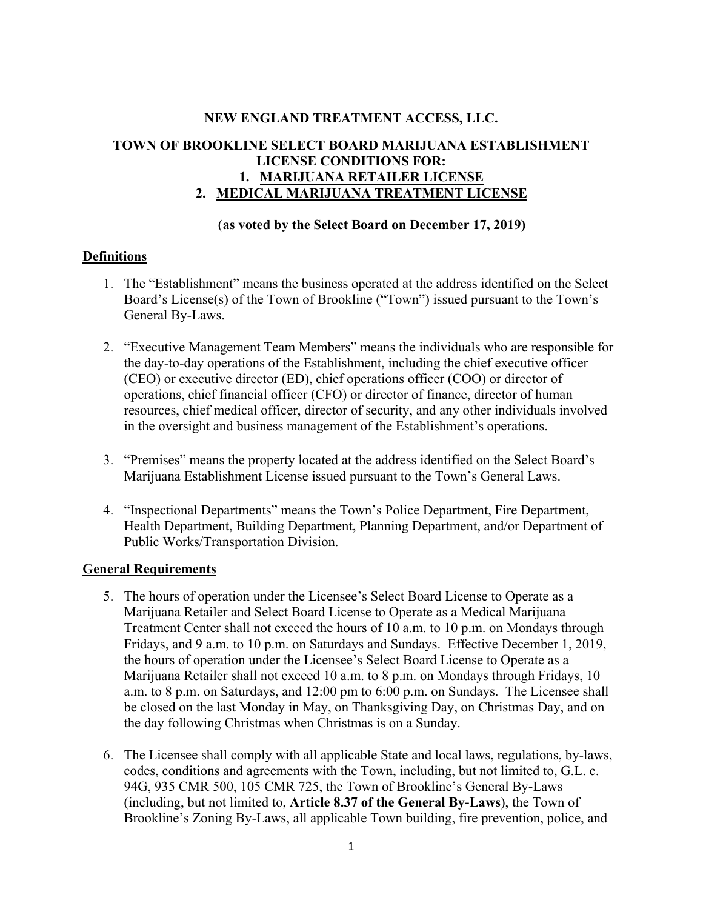## **NEW ENGLAND TREATMENT ACCESS, LLC.**

# **TOWN OF BROOKLINE SELECT BOARD MARIJUANA ESTABLISHMENT LICENSE CONDITIONS FOR: 1. MARIJUANA RETAILER LICENSE 2. MEDICAL MARIJUANA TREATMENT LICENSE**

### (**as voted by the Select Board on December 17, 2019)**

## **Definitions**

- 1. The "Establishment" means the business operated at the address identified on the Select Board's License(s) of the Town of Brookline ("Town") issued pursuant to the Town's General By-Laws.
- 2. "Executive Management Team Members" means the individuals who are responsible for the day-to-day operations of the Establishment, including the chief executive officer (CEO) or executive director (ED), chief operations officer (COO) or director of operations, chief financial officer (CFO) or director of finance, director of human resources, chief medical officer, director of security, and any other individuals involved in the oversight and business management of the Establishment's operations.
- 3. "Premises" means the property located at the address identified on the Select Board's Marijuana Establishment License issued pursuant to the Town's General Laws.
- 4. "Inspectional Departments" means the Town's Police Department, Fire Department, Health Department, Building Department, Planning Department, and/or Department of Public Works/Transportation Division.

#### **General Requirements**

- 5. The hours of operation under the Licensee's Select Board License to Operate as a Marijuana Retailer and Select Board License to Operate as a Medical Marijuana Treatment Center shall not exceed the hours of 10 a.m. to 10 p.m. on Mondays through Fridays, and 9 a.m. to 10 p.m. on Saturdays and Sundays. Effective December 1, 2019, the hours of operation under the Licensee's Select Board License to Operate as a Marijuana Retailer shall not exceed 10 a.m. to 8 p.m. on Mondays through Fridays, 10 a.m. to 8 p.m. on Saturdays, and 12:00 pm to 6:00 p.m. on Sundays. The Licensee shall be closed on the last Monday in May, on Thanksgiving Day, on Christmas Day, and on the day following Christmas when Christmas is on a Sunday.
- 6. The Licensee shall comply with all applicable State and local laws, regulations, by-laws, codes, conditions and agreements with the Town, including, but not limited to, G.L. c. 94G, 935 CMR 500, 105 CMR 725, the Town of Brookline's General By-Laws (including, but not limited to, **Article 8.37 of the General By-Laws**), the Town of Brookline's Zoning By-Laws, all applicable Town building, fire prevention, police, and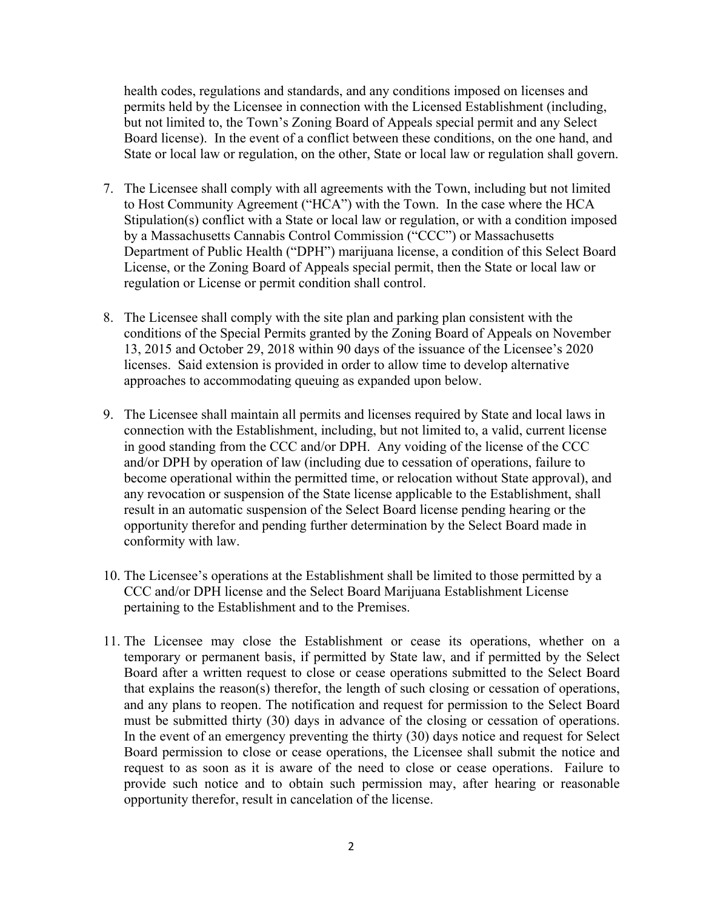health codes, regulations and standards, and any conditions imposed on licenses and permits held by the Licensee in connection with the Licensed Establishment (including, but not limited to, the Town's Zoning Board of Appeals special permit and any Select Board license). In the event of a conflict between these conditions, on the one hand, and State or local law or regulation, on the other, State or local law or regulation shall govern.

- 7. The Licensee shall comply with all agreements with the Town, including but not limited to Host Community Agreement ("HCA") with the Town. In the case where the HCA Stipulation(s) conflict with a State or local law or regulation, or with a condition imposed by a Massachusetts Cannabis Control Commission ("CCC") or Massachusetts Department of Public Health ("DPH") marijuana license, a condition of this Select Board License, or the Zoning Board of Appeals special permit, then the State or local law or regulation or License or permit condition shall control.
- 8. The Licensee shall comply with the site plan and parking plan consistent with the conditions of the Special Permits granted by the Zoning Board of Appeals on November 13, 2015 and October 29, 2018 within 90 days of the issuance of the Licensee's 2020 licenses. Said extension is provided in order to allow time to develop alternative approaches to accommodating queuing as expanded upon below.
- 9. The Licensee shall maintain all permits and licenses required by State and local laws in connection with the Establishment, including, but not limited to, a valid, current license in good standing from the CCC and/or DPH. Any voiding of the license of the CCC and/or DPH by operation of law (including due to cessation of operations, failure to become operational within the permitted time, or relocation without State approval), and any revocation or suspension of the State license applicable to the Establishment, shall result in an automatic suspension of the Select Board license pending hearing or the opportunity therefor and pending further determination by the Select Board made in conformity with law.
- 10. The Licensee's operations at the Establishment shall be limited to those permitted by a CCC and/or DPH license and the Select Board Marijuana Establishment License pertaining to the Establishment and to the Premises.
- 11. The Licensee may close the Establishment or cease its operations, whether on a temporary or permanent basis, if permitted by State law, and if permitted by the Select Board after a written request to close or cease operations submitted to the Select Board that explains the reason(s) therefor, the length of such closing or cessation of operations, and any plans to reopen. The notification and request for permission to the Select Board must be submitted thirty (30) days in advance of the closing or cessation of operations. In the event of an emergency preventing the thirty (30) days notice and request for Select Board permission to close or cease operations, the Licensee shall submit the notice and request to as soon as it is aware of the need to close or cease operations. Failure to provide such notice and to obtain such permission may, after hearing or reasonable opportunity therefor, result in cancelation of the license.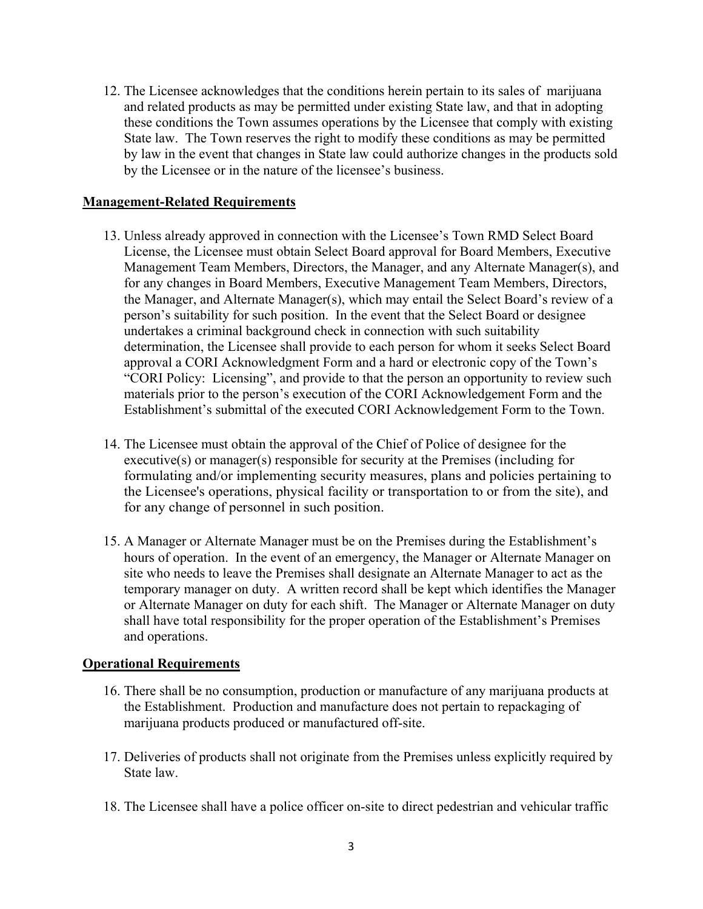12. The Licensee acknowledges that the conditions herein pertain to its sales of marijuana and related products as may be permitted under existing State law, and that in adopting these conditions the Town assumes operations by the Licensee that comply with existing State law. The Town reserves the right to modify these conditions as may be permitted by law in the event that changes in State law could authorize changes in the products sold by the Licensee or in the nature of the licensee's business.

## **Management-Related Requirements**

- 13. Unless already approved in connection with the Licensee's Town RMD Select Board License, the Licensee must obtain Select Board approval for Board Members, Executive Management Team Members, Directors, the Manager, and any Alternate Manager(s), and for any changes in Board Members, Executive Management Team Members, Directors, the Manager, and Alternate Manager(s), which may entail the Select Board's review of a person's suitability for such position. In the event that the Select Board or designee undertakes a criminal background check in connection with such suitability determination, the Licensee shall provide to each person for whom it seeks Select Board approval a CORI Acknowledgment Form and a hard or electronic copy of the Town's "CORI Policy: Licensing", and provide to that the person an opportunity to review such materials prior to the person's execution of the CORI Acknowledgement Form and the Establishment's submittal of the executed CORI Acknowledgement Form to the Town.
- 14. The Licensee must obtain the approval of the Chief of Police of designee for the executive(s) or manager(s) responsible for security at the Premises (including for formulating and/or implementing security measures, plans and policies pertaining to the Licensee's operations, physical facility or transportation to or from the site), and for any change of personnel in such position.
- 15. A Manager or Alternate Manager must be on the Premises during the Establishment's hours of operation. In the event of an emergency, the Manager or Alternate Manager on site who needs to leave the Premises shall designate an Alternate Manager to act as the temporary manager on duty. A written record shall be kept which identifies the Manager or Alternate Manager on duty for each shift. The Manager or Alternate Manager on duty shall have total responsibility for the proper operation of the Establishment's Premises and operations.

#### **Operational Requirements**

- 16. There shall be no consumption, production or manufacture of any marijuana products at the Establishment. Production and manufacture does not pertain to repackaging of marijuana products produced or manufactured off-site.
- 17. Deliveries of products shall not originate from the Premises unless explicitly required by State law.
- 18. The Licensee shall have a police officer on-site to direct pedestrian and vehicular traffic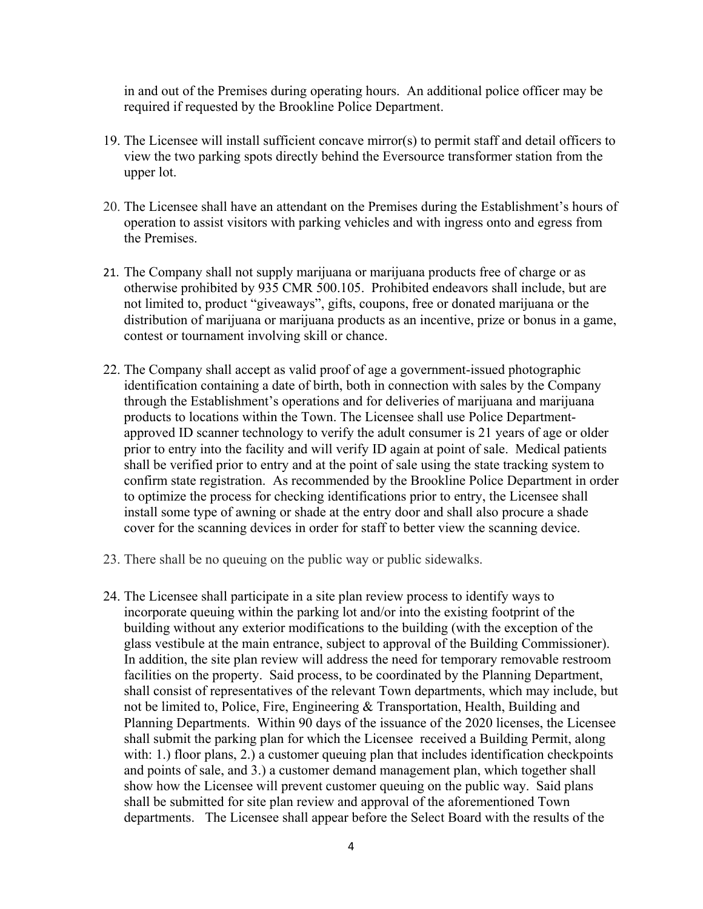in and out of the Premises during operating hours. An additional police officer may be required if requested by the Brookline Police Department.

- 19. The Licensee will install sufficient concave mirror(s) to permit staff and detail officers to view the two parking spots directly behind the Eversource transformer station from the upper lot.
- 20. The Licensee shall have an attendant on the Premises during the Establishment's hours of operation to assist visitors with parking vehicles and with ingress onto and egress from the Premises.
- 21. The Company shall not supply marijuana or marijuana products free of charge or as otherwise prohibited by 935 CMR 500.105. Prohibited endeavors shall include, but are not limited to, product "giveaways", gifts, coupons, free or donated marijuana or the distribution of marijuana or marijuana products as an incentive, prize or bonus in a game, contest or tournament involving skill or chance.
- 22. The Company shall accept as valid proof of age a government-issued photographic identification containing a date of birth, both in connection with sales by the Company through the Establishment's operations and for deliveries of marijuana and marijuana products to locations within the Town. The Licensee shall use Police Departmentapproved ID scanner technology to verify the adult consumer is 21 years of age or older prior to entry into the facility and will verify ID again at point of sale. Medical patients shall be verified prior to entry and at the point of sale using the state tracking system to confirm state registration. As recommended by the Brookline Police Department in order to optimize the process for checking identifications prior to entry, the Licensee shall install some type of awning or shade at the entry door and shall also procure a shade cover for the scanning devices in order for staff to better view the scanning device.
- 23. There shall be no queuing on the public way or public sidewalks.
- 24. The Licensee shall participate in a site plan review process to identify ways to incorporate queuing within the parking lot and/or into the existing footprint of the building without any exterior modifications to the building (with the exception of the glass vestibule at the main entrance, subject to approval of the Building Commissioner). In addition, the site plan review will address the need for temporary removable restroom facilities on the property. Said process, to be coordinated by the Planning Department, shall consist of representatives of the relevant Town departments, which may include, but not be limited to, Police, Fire, Engineering & Transportation, Health, Building and Planning Departments. Within 90 days of the issuance of the 2020 licenses, the Licensee shall submit the parking plan for which the Licensee received a Building Permit, along with: 1.) floor plans, 2.) a customer queuing plan that includes identification checkpoints and points of sale, and 3.) a customer demand management plan, which together shall show how the Licensee will prevent customer queuing on the public way. Said plans shall be submitted for site plan review and approval of the aforementioned Town departments. The Licensee shall appear before the Select Board with the results of the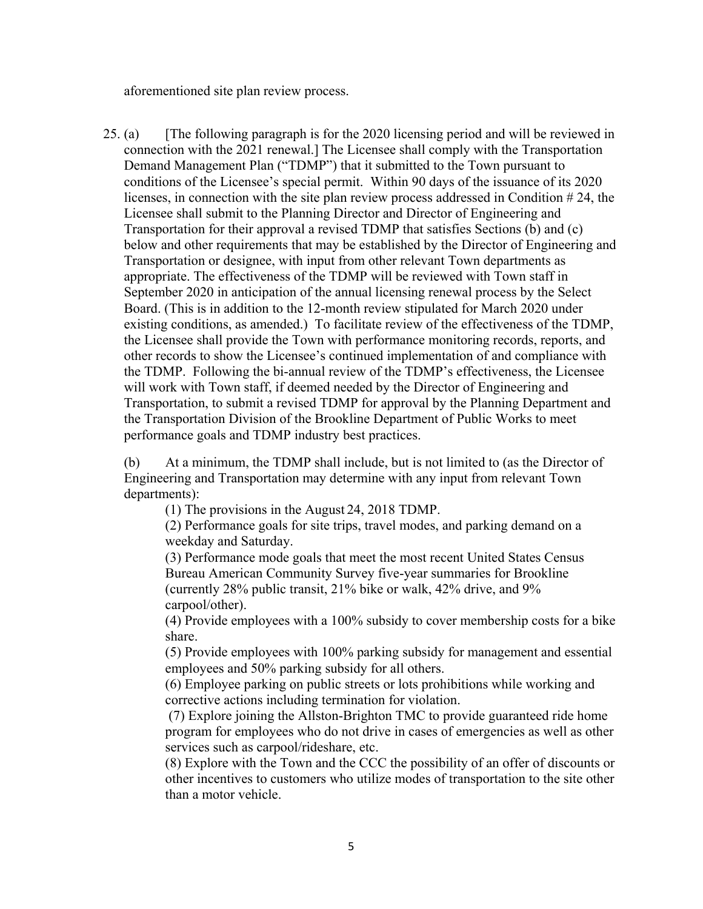aforementioned site plan review process.

25. (a) [The following paragraph is for the 2020 licensing period and will be reviewed in connection with the 2021 renewal.] The Licensee shall comply with the Transportation Demand Management Plan ("TDMP") that it submitted to the Town pursuant to conditions of the Licensee's special permit. Within 90 days of the issuance of its 2020 licenses, in connection with the site plan review process addressed in Condition # 24, the Licensee shall submit to the Planning Director and Director of Engineering and Transportation for their approval a revised TDMP that satisfies Sections (b) and (c) below and other requirements that may be established by the Director of Engineering and Transportation or designee, with input from other relevant Town departments as appropriate. The effectiveness of the TDMP will be reviewed with Town staff in September 2020 in anticipation of the annual licensing renewal process by the Select Board. (This is in addition to the 12-month review stipulated for March 2020 under existing conditions, as amended.) To facilitate review of the effectiveness of the TDMP, the Licensee shall provide the Town with performance monitoring records, reports, and other records to show the Licensee's continued implementation of and compliance with the TDMP. Following the bi-annual review of the TDMP's effectiveness, the Licensee will work with Town staff, if deemed needed by the Director of Engineering and Transportation, to submit a revised TDMP for approval by the Planning Department and the Transportation Division of the Brookline Department of Public Works to meet performance goals and TDMP industry best practices.

(b) At a minimum, the TDMP shall include, but is not limited to (as the Director of Engineering and Transportation may determine with any input from relevant Town departments):

(1) The provisions in the August 24, 2018 TDMP.

(2) Performance goals for site trips, travel modes, and parking demand on a weekday and Saturday.

(3) Performance mode goals that meet the most recent United States Census Bureau American Community Survey five-year summaries for Brookline (currently 28% public transit, 21% bike or walk, 42% drive, and 9% carpool/other).

(4) Provide employees with a 100% subsidy to cover membership costs for a bike share.

(5) Provide employees with 100% parking subsidy for management and essential employees and 50% parking subsidy for all others.

(6) Employee parking on public streets or lots prohibitions while working and corrective actions including termination for violation.

 (7) Explore joining the Allston-Brighton TMC to provide guaranteed ride home program for employees who do not drive in cases of emergencies as well as other services such as carpool/rideshare, etc.

(8) Explore with the Town and the CCC the possibility of an offer of discounts or other incentives to customers who utilize modes of transportation to the site other than a motor vehicle.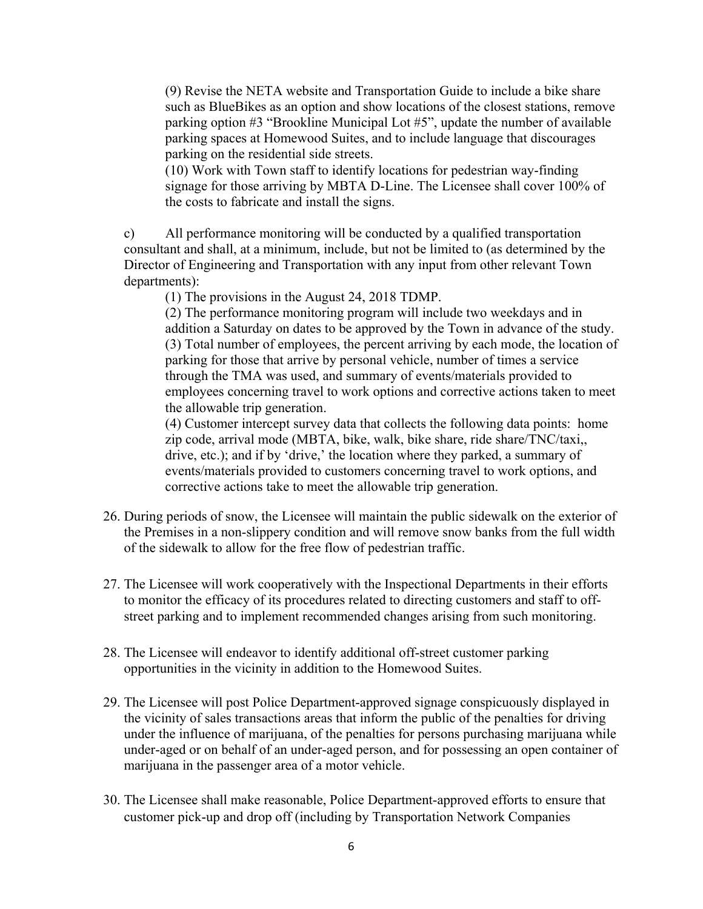(9) Revise the NETA website and Transportation Guide to include a bike share such as BlueBikes as an option and show locations of the closest stations, remove parking option #3 "Brookline Municipal Lot #5", update the number of available parking spaces at Homewood Suites, and to include language that discourages parking on the residential side streets.

(10) Work with Town staff to identify locations for pedestrian way-finding signage for those arriving by MBTA D-Line. The Licensee shall cover 100% of the costs to fabricate and install the signs.

c) All performance monitoring will be conducted by a qualified transportation consultant and shall, at a minimum, include, but not be limited to (as determined by the Director of Engineering and Transportation with any input from other relevant Town departments):

(1) The provisions in the August 24, 2018 TDMP.

(2) The performance monitoring program will include two weekdays and in addition a Saturday on dates to be approved by the Town in advance of the study. (3) Total number of employees, the percent arriving by each mode, the location of parking for those that arrive by personal vehicle, number of times a service through the TMA was used, and summary of events/materials provided to employees concerning travel to work options and corrective actions taken to meet the allowable trip generation.

(4) Customer intercept survey data that collects the following data points: home zip code, arrival mode (MBTA, bike, walk, bike share, ride share/TNC/taxi,, drive, etc.); and if by 'drive,' the location where they parked, a summary of events/materials provided to customers concerning travel to work options, and corrective actions take to meet the allowable trip generation.

- 26. During periods of snow, the Licensee will maintain the public sidewalk on the exterior of the Premises in a non-slippery condition and will remove snow banks from the full width of the sidewalk to allow for the free flow of pedestrian traffic.
- 27. The Licensee will work cooperatively with the Inspectional Departments in their efforts to monitor the efficacy of its procedures related to directing customers and staff to offstreet parking and to implement recommended changes arising from such monitoring.
- 28. The Licensee will endeavor to identify additional off-street customer parking opportunities in the vicinity in addition to the Homewood Suites.
- 29. The Licensee will post Police Department-approved signage conspicuously displayed in the vicinity of sales transactions areas that inform the public of the penalties for driving under the influence of marijuana, of the penalties for persons purchasing marijuana while under-aged or on behalf of an under-aged person, and for possessing an open container of marijuana in the passenger area of a motor vehicle.
- 30. The Licensee shall make reasonable, Police Department-approved efforts to ensure that customer pick-up and drop off (including by Transportation Network Companies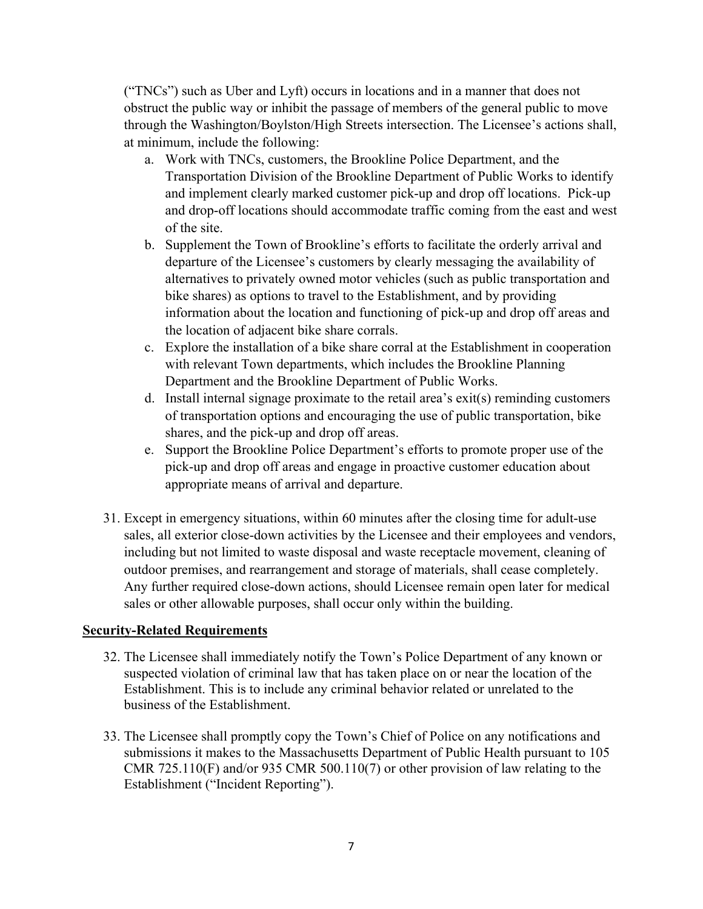("TNCs") such as Uber and Lyft) occurs in locations and in a manner that does not obstruct the public way or inhibit the passage of members of the general public to move through the Washington/Boylston/High Streets intersection. The Licensee's actions shall, at minimum, include the following:

- a. Work with TNCs, customers, the Brookline Police Department, and the Transportation Division of the Brookline Department of Public Works to identify and implement clearly marked customer pick-up and drop off locations. Pick-up and drop-off locations should accommodate traffic coming from the east and west of the site.
- b. Supplement the Town of Brookline's efforts to facilitate the orderly arrival and departure of the Licensee's customers by clearly messaging the availability of alternatives to privately owned motor vehicles (such as public transportation and bike shares) as options to travel to the Establishment, and by providing information about the location and functioning of pick-up and drop off areas and the location of adjacent bike share corrals.
- c. Explore the installation of a bike share corral at the Establishment in cooperation with relevant Town departments, which includes the Brookline Planning Department and the Brookline Department of Public Works.
- d. Install internal signage proximate to the retail area's exit(s) reminding customers of transportation options and encouraging the use of public transportation, bike shares, and the pick-up and drop off areas.
- e. Support the Brookline Police Department's efforts to promote proper use of the pick-up and drop off areas and engage in proactive customer education about appropriate means of arrival and departure.
- 31. Except in emergency situations, within 60 minutes after the closing time for adult-use sales, all exterior close-down activities by the Licensee and their employees and vendors, including but not limited to waste disposal and waste receptacle movement, cleaning of outdoor premises, and rearrangement and storage of materials, shall cease completely. Any further required close-down actions, should Licensee remain open later for medical sales or other allowable purposes, shall occur only within the building.

# **Security-Related Requirements**

- 32. The Licensee shall immediately notify the Town's Police Department of any known or suspected violation of criminal law that has taken place on or near the location of the Establishment. This is to include any criminal behavior related or unrelated to the business of the Establishment.
- 33. The Licensee shall promptly copy the Town's Chief of Police on any notifications and submissions it makes to the Massachusetts Department of Public Health pursuant to 105 CMR 725.110(F) and/or 935 CMR 500.110(7) or other provision of law relating to the Establishment ("Incident Reporting").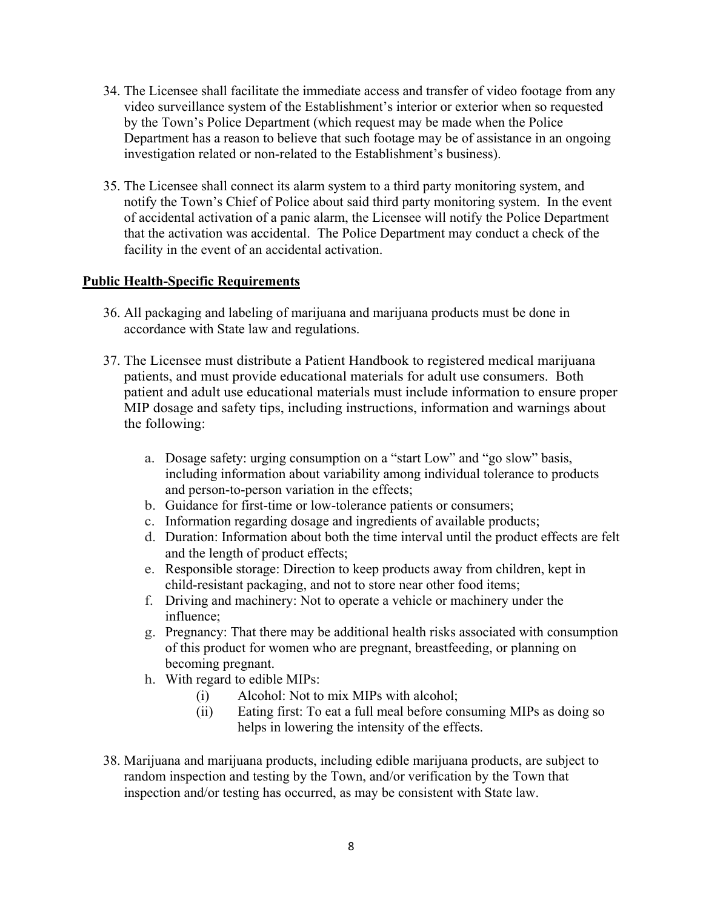- 34. The Licensee shall facilitate the immediate access and transfer of video footage from any video surveillance system of the Establishment's interior or exterior when so requested by the Town's Police Department (which request may be made when the Police Department has a reason to believe that such footage may be of assistance in an ongoing investigation related or non-related to the Establishment's business).
- 35. The Licensee shall connect its alarm system to a third party monitoring system, and notify the Town's Chief of Police about said third party monitoring system. In the event of accidental activation of a panic alarm, the Licensee will notify the Police Department that the activation was accidental. The Police Department may conduct a check of the facility in the event of an accidental activation.

## **Public Health-Specific Requirements**

- 36. All packaging and labeling of marijuana and marijuana products must be done in accordance with State law and regulations.
- 37. The Licensee must distribute a Patient Handbook to registered medical marijuana patients, and must provide educational materials for adult use consumers. Both patient and adult use educational materials must include information to ensure proper MIP dosage and safety tips, including instructions, information and warnings about the following:
	- a. Dosage safety: urging consumption on a "start Low" and "go slow" basis, including information about variability among individual tolerance to products and person-to-person variation in the effects;
	- b. Guidance for first-time or low-tolerance patients or consumers;
	- c. Information regarding dosage and ingredients of available products;
	- d. Duration: Information about both the time interval until the product effects are felt and the length of product effects;
	- e. Responsible storage: Direction to keep products away from children, kept in child-resistant packaging, and not to store near other food items;
	- f. Driving and machinery: Not to operate a vehicle or machinery under the influence;
	- g. Pregnancy: That there may be additional health risks associated with consumption of this product for women who are pregnant, breastfeeding, or planning on becoming pregnant.
	- h. With regard to edible MIPs:
		- (i) Alcohol: Not to mix MIPs with alcohol;
		- (ii) Eating first: To eat a full meal before consuming MIPs as doing so helps in lowering the intensity of the effects.
- 38. Marijuana and marijuana products, including edible marijuana products, are subject to random inspection and testing by the Town, and/or verification by the Town that inspection and/or testing has occurred, as may be consistent with State law.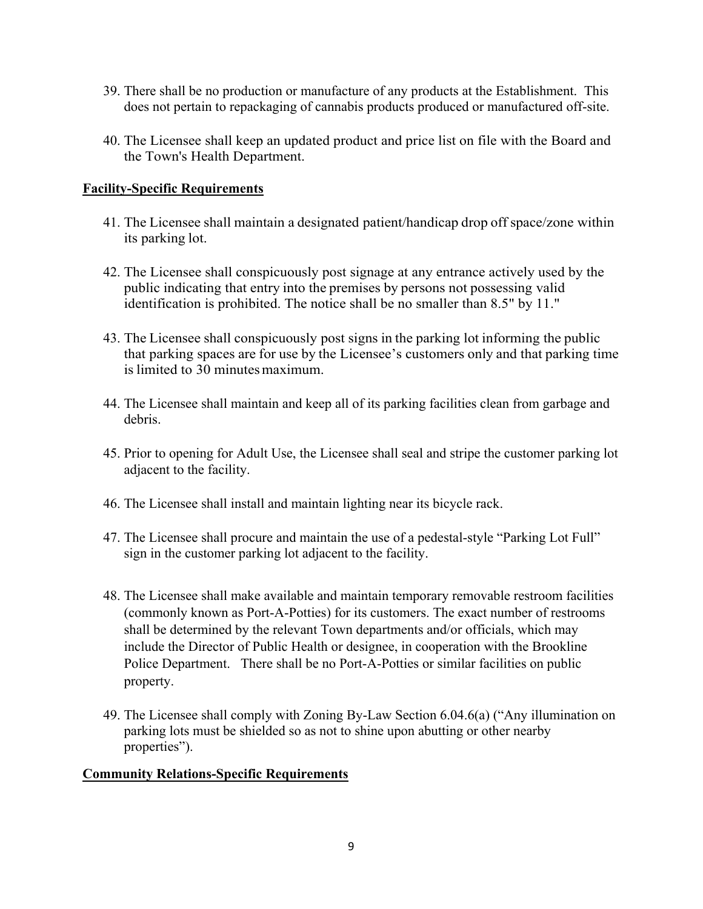- 39. There shall be no production or manufacture of any products at the Establishment. This does not pertain to repackaging of cannabis products produced or manufactured off-site.
- 40. The Licensee shall keep an updated product and price list on file with the Board and the Town's Health Department.

## **Facility-Specific Requirements**

- 41. The Licensee shall maintain a designated patient/handicap drop off space/zone within its parking lot.
- 42. The Licensee shall conspicuously post signage at any entrance actively used by the public indicating that entry into the premises by persons not possessing valid identification is prohibited. The notice shall be no smaller than 8.5" by 11."
- 43. The Licensee shall conspicuously post signs in the parking lot informing the public that parking spaces are for use by the Licensee's customers only and that parking time is limited to 30 minutes maximum.
- 44. The Licensee shall maintain and keep all of its parking facilities clean from garbage and debris.
- 45. Prior to opening for Adult Use, the Licensee shall seal and stripe the customer parking lot adjacent to the facility.
- 46. The Licensee shall install and maintain lighting near its bicycle rack.
- 47. The Licensee shall procure and maintain the use of a pedestal-style "Parking Lot Full" sign in the customer parking lot adjacent to the facility.
- 48. The Licensee shall make available and maintain temporary removable restroom facilities (commonly known as Port-A-Potties) for its customers. The exact number of restrooms shall be determined by the relevant Town departments and/or officials, which may include the Director of Public Health or designee, in cooperation with the Brookline Police Department. There shall be no Port-A-Potties or similar facilities on public property.
- 49. The Licensee shall comply with Zoning By-Law Section 6.04.6(a) ("Any illumination on parking lots must be shielded so as not to shine upon abutting or other nearby properties").

## **Community Relations-Specific Requirements**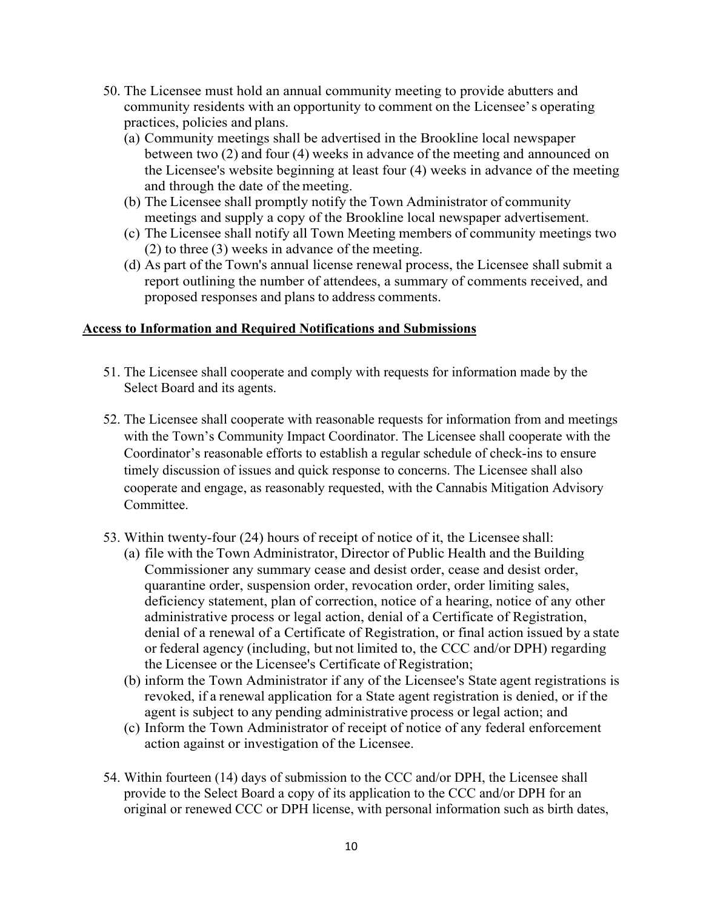- 50. The Licensee must hold an annual community meeting to provide abutters and community residents with an opportunity to comment on the Licensee' s operating practices, policies and plans.
	- (a) Community meetings shall be advertised in the Brookline local newspaper between two (2) and four (4) weeks in advance of the meeting and announced on the Licensee's website beginning at least four (4) weeks in advance of the meeting and through the date of the meeting.
	- (b) The Licensee shall promptly notify the Town Administrator of community meetings and supply a copy of the Brookline local newspaper advertisement.
	- (c) The Licensee shall notify all Town Meeting members of community meetings two (2) to three (3) weeks in advance of the meeting.
	- (d) As part of the Town's annual license renewal process, the Licensee shall submit a report outlining the number of attendees, a summary of comments received, and proposed responses and plans to address comments.

## **Access to Information and Required Notifications and Submissions**

- 51. The Licensee shall cooperate and comply with requests for information made by the Select Board and its agents.
- 52. The Licensee shall cooperate with reasonable requests for information from and meetings with the Town's Community Impact Coordinator. The Licensee shall cooperate with the Coordinator's reasonable efforts to establish a regular schedule of check-ins to ensure timely discussion of issues and quick response to concerns. The Licensee shall also cooperate and engage, as reasonably requested, with the Cannabis Mitigation Advisory Committee.
- 53. Within twenty-four (24) hours of receipt of notice of it, the Licensee shall:
	- (a) file with the Town Administrator, Director of Public Health and the Building Commissioner any summary cease and desist order, cease and desist order, quarantine order, suspension order, revocation order, order limiting sales, deficiency statement, plan of correction, notice of a hearing, notice of any other administrative process or legal action, denial of a Certificate of Registration, denial of a renewal of a Certificate of Registration, or final action issued by a state or federal agency (including, but not limited to, the CCC and/or DPH) regarding the Licensee or the Licensee's Certificate of Registration;
	- (b) inform the Town Administrator if any of the Licensee's State agent registrations is revoked, if a renewal application for a State agent registration is denied, or if the agent is subject to any pending administrative process or legal action; and
	- (c) Inform the Town Administrator of receipt of notice of any federal enforcement action against or investigation of the Licensee.
- 54. Within fourteen (14) days of submission to the CCC and/or DPH, the Licensee shall provide to the Select Board a copy of its application to the CCC and/or DPH for an original or renewed CCC or DPH license, with personal information such as birth dates,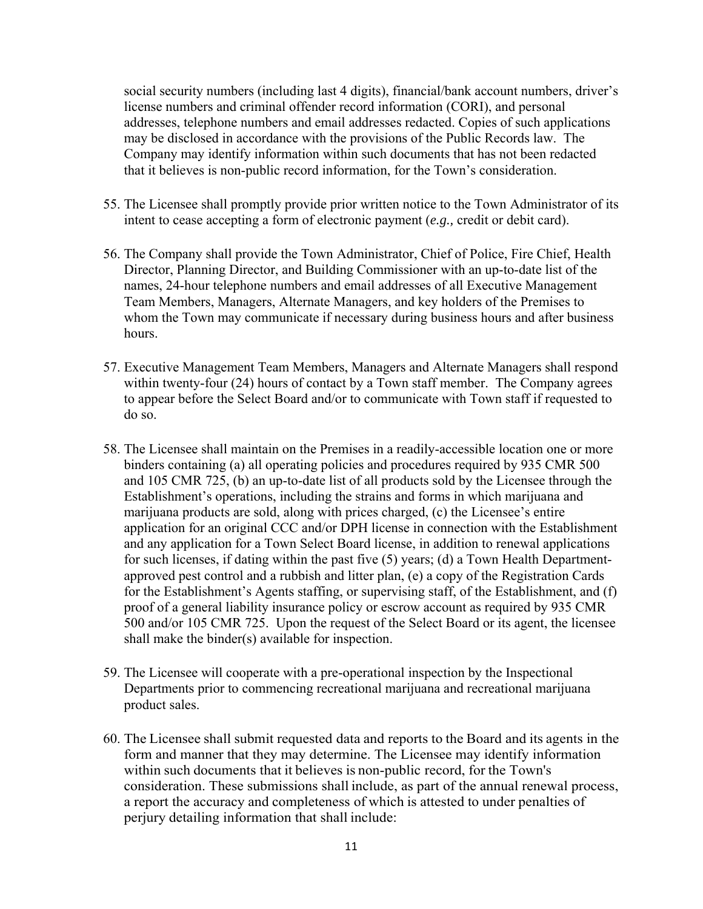social security numbers (including last 4 digits), financial/bank account numbers, driver's license numbers and criminal offender record information (CORI), and personal addresses, telephone numbers and email addresses redacted. Copies of such applications may be disclosed in accordance with the provisions of the Public Records law. The Company may identify information within such documents that has not been redacted that it believes is non-public record information, for the Town's consideration.

- 55. The Licensee shall promptly provide prior written notice to the Town Administrator of its intent to cease accepting a form of electronic payment (*e.g.,* credit or debit card).
- 56. The Company shall provide the Town Administrator, Chief of Police, Fire Chief, Health Director, Planning Director, and Building Commissioner with an up-to-date list of the names, 24-hour telephone numbers and email addresses of all Executive Management Team Members, Managers, Alternate Managers, and key holders of the Premises to whom the Town may communicate if necessary during business hours and after business hours.
- 57. Executive Management Team Members, Managers and Alternate Managers shall respond within twenty-four (24) hours of contact by a Town staff member. The Company agrees to appear before the Select Board and/or to communicate with Town staff if requested to do so.
- 58. The Licensee shall maintain on the Premises in a readily-accessible location one or more binders containing (a) all operating policies and procedures required by 935 CMR 500 and 105 CMR 725, (b) an up-to-date list of all products sold by the Licensee through the Establishment's operations, including the strains and forms in which marijuana and marijuana products are sold, along with prices charged, (c) the Licensee's entire application for an original CCC and/or DPH license in connection with the Establishment and any application for a Town Select Board license, in addition to renewal applications for such licenses, if dating within the past five (5) years; (d) a Town Health Departmentapproved pest control and a rubbish and litter plan, (e) a copy of the Registration Cards for the Establishment's Agents staffing, or supervising staff, of the Establishment, and (f) proof of a general liability insurance policy or escrow account as required by 935 CMR 500 and/or 105 CMR 725. Upon the request of the Select Board or its agent, the licensee shall make the binder(s) available for inspection.
- 59. The Licensee will cooperate with a pre-operational inspection by the Inspectional Departments prior to commencing recreational marijuana and recreational marijuana product sales.
- 60. The Licensee shall submit requested data and reports to the Board and its agents in the form and manner that they may determine. The Licensee may identify information within such documents that it believes is non-public record, for the Town's consideration. These submissions shall include, as part of the annual renewal process, a report the accuracy and completeness of which is attested to under penalties of perjury detailing information that shall include: